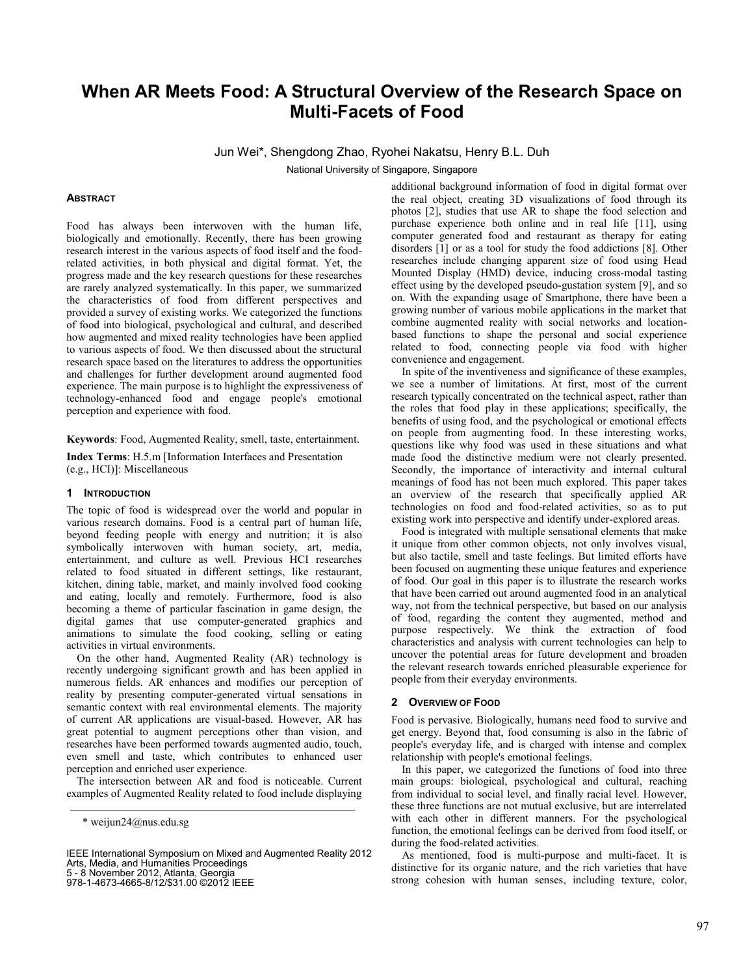# **When AR Meets Food: A Structural Overview of the Research Space on Multi-Facets of Food**

Jun Wei\*, Shengdong Zhao, Ryohei Nakatsu, Henry B.L. Duh

National University of Singapore, Singapore

#### **ABSTRACT**

Food has always been interwoven with the human life, biologically and emotionally. Recently, there has been growing research interest in the various aspects of food itself and the foodrelated activities, in both physical and digital format. Yet, the progress made and the key research questions for these researches are rarely analyzed systematically. In this paper, we summarized the characteristics of food from different perspectives and provided a survey of existing works. We categorized the functions of food into biological, psychological and cultural, and described how augmented and mixed reality technologies have been applied to various aspects of food. We then discussed about the structural research space based on the literatures to address the opportunities and challenges for further development around augmented food experience. The main purpose is to highlight the expressiveness of technology-enhanced food and engage people's emotional perception and experience with food.

**Keywords**: Food, Augmented Reality, smell, taste, entertainment.

**Index Terms**: H.5.m [Information Interfaces and Presentation (e.g., HCI)]: Miscellaneous

## **1 INTRODUCTION**

The topic of food is widespread over the world and popular in various research domains. Food is a central part of human life, beyond feeding people with energy and nutrition; it is also symbolically interwoven with human society, art, media, entertainment, and culture as well. Previous HCI researches related to food situated in different settings, like restaurant, kitchen, dining table, market, and mainly involved food cooking and eating, locally and remotely. Furthermore, food is also becoming a theme of particular fascination in game design, the digital games that use computer-generated graphics and animations to simulate the food cooking, selling or eating activities in virtual environments.

On the other hand, Augmented Reality (AR) technology is recently undergoing significant growth and has been applied in numerous fields. AR enhances and modifies our perception of reality by presenting computer-generated virtual sensations in semantic context with real environmental elements. The majority of current AR applications are visual-based. However, AR has great potential to augment perceptions other than vision, and researches have been performed towards augmented audio, touch, even smell and taste, which contributes to enhanced user perception and enriched user experience.

The intersection between AR and food is noticeable. Current examples of Augmented Reality related to food include displaying

5 - 8 November 2012, Atlanta, Georgia

978-1-4673-4665-8/12/\$31.00 ©2012 IEEE

additional background information of food in digital format over the real object, creating 3D visualizations of food through its photos [2], studies that use AR to shape the food selection and purchase experience both online and in real life [11], using computer generated food and restaurant as therapy for eating disorders [1] or as a tool for study the food addictions [8]. Other researches include changing apparent size of food using Head Mounted Display (HMD) device, inducing cross-modal tasting effect using by the developed pseudo-gustation system [9], and so on. With the expanding usage of Smartphone, there have been a growing number of various mobile applications in the market that combine augmented reality with social networks and locationbased functions to shape the personal and social experience related to food, connecting people via food with higher convenience and engagement.

In spite of the inventiveness and significance of these examples, we see a number of limitations. At first, most of the current research typically concentrated on the technical aspect, rather than the roles that food play in these applications; specifically, the benefits of using food, and the psychological or emotional effects on people from augmenting food. In these interesting works, questions like why food was used in these situations and what made food the distinctive medium were not clearly presented. Secondly, the importance of interactivity and internal cultural meanings of food has not been much explored. This paper takes an overview of the research that specifically applied AR technologies on food and food-related activities, so as to put existing work into perspective and identify under-explored areas.

Food is integrated with multiple sensational elements that make it unique from other common objects, not only involves visual, but also tactile, smell and taste feelings. But limited efforts have been focused on augmenting these unique features and experience of food. Our goal in this paper is to illustrate the research works that have been carried out around augmented food in an analytical way, not from the technical perspective, but based on our analysis of food, regarding the content they augmented, method and purpose respectively. We think the extraction of food characteristics and analysis with current technologies can help to uncover the potential areas for future development and broaden the relevant research towards enriched pleasurable experience for people from their everyday environments.

#### **2 OVERVIEW OF FOOD**

Food is pervasive. Biologically, humans need food to survive and get energy. Beyond that, food consuming is also in the fabric of people's everyday life, and is charged with intense and complex relationship with people's emotional feelings.

In this paper, we categorized the functions of food into three main groups: biological, psychological and cultural, reaching from individual to social level, and finally racial level. However, these three functions are not mutual exclusive, but are interrelated with each other in different manners. For the psychological function, the emotional feelings can be derived from food itself, or during the food-related activities.

As mentioned, food is multi-purpose and multi-facet. It is distinctive for its organic nature, and the rich varieties that have strong cohesion with human senses, including texture, color,

<sup>\*</sup> weijun24@nus.edu.sg

IEEE International Symposium on Mixed and Augmented Reality 2012 Arts, Media, and Humanities Proceedings